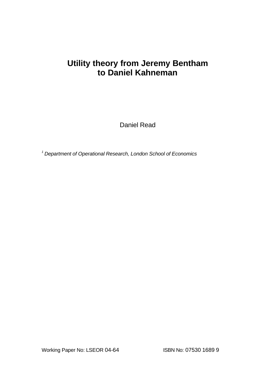# **Utility theory from Jeremy Bentham to Daniel Kahneman**

Daniel Read

*<sup>1</sup>Department of Operational Research, London School of Economics*

Working Paper No: LSEOR 04-64 ISBN No: 07530 1689 9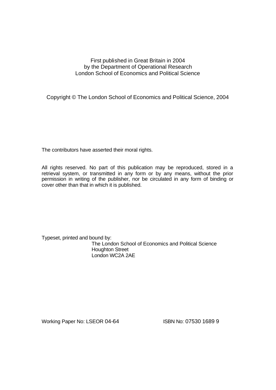## First published in Great Britain in 2004 by the Department of Operational Research London School of Economics and Political Science

Copyright © The London School of Economics and Political Science, 2004

The contributors have asserted their moral rights.

All rights reserved. No part of this publication may be reproduced, stored in a retrieval system, or transmitted in any form or by any means, without the prior permission in writing of the publisher, nor be circulated in any form of binding or cover other than that in which it is published.

Typeset, printed and bound by: The London School of Economics and Political Science Houghton Street London WC2A 2AE

Working Paper No: LSEOR 04-64 **ISBN No: 07530 1689 9**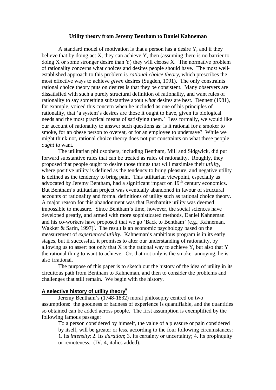## **Utility theory from Jeremy Bentham to Daniel Kahneman**

A standard model of motivation is that a person has a desire Y, and if they believe that by doing act X, they can achieve Y, then (assuming there is no barrier to doing  $X$  or some stronger desire than Y) they will choose  $X$ . The normative problem of rationality concerns what choices and desires people should have. The most wellestablished approach to this problem is *rational choice theory*, which prescribes the most effective ways to achieve *given* desires (Sugden, 1991). The only constraints rational choice theory puts on desires is that they be consistent. Many observers are dissatisfied with such a purely structural definition of rationality, and want rules of rationality to say something substantive about *what* desires are best. Dennett (1981), for example, voiced this concern when he included as one of his principles of rationality, that 'a system's desires are those it ought to have, given its biological needs and the most practical means of satisfying them.' Less formally, we would like our account of rationality to answer such questions as: is it rational for a smoker to smoke, for an obese person to overeat, or for an employee to undersave? While we might think not, rational choice theory does not put constraints on what these people *ought* to want.

The utilitarian philosophers, including Bentham, Mill and Sidgwick, did put forward substantive rules that can be treated as rules of rationality. Roughly, they proposed that people ought to desire those things that will maximise their *utility*, where positive utility is defined as the tendency to bring pleasure, and negative utility is defined as the tendency to bring pain. This utilitarian viewpoint, especially as advocated by Jeremy Bentham, had a significant impact on  $19<sup>th</sup>$  century economics. But Bentham's utilitarian project was eventually abandoned in favour of structural accounts of rationality and formal definitions of utility such as rational choice theory. A major reason for this abandonment was that Benthamite utility was deemed impossible to measure. Since Bentham's time, however, the social sciences have developed greatly, and armed with more sophisticated methods, Daniel Kahneman and his co-workers have proposed that we go 'Back to Bentham' (e.g., Kahneman, Wakker & Sarin, 1997)<sup>1</sup>. The result is an economic psychology based on the measurement of *experienced utility*. Kahneman's ambitious program is in its early stages, but if successful, it promises to alter our understanding of rationality, by allowing us to assert not only that  $X$  is the rational way to achieve  $Y$ , but also that  $Y$ the rational thing to want to achieve. Or, that not only is the smoker annoying, he is also irrational.

The purpose of this paper is to sketch out the history of the idea of utility in its circuitous path from Bentham to Kahneman, and then to consider the problems and challenges that still remain. We begin with the history.

## **A selective history of utility theoryii**

Jeremy Bentham's (1748-1832) moral philosophy centred on two assumptions: the goodness or badness of experience is quantifiable, and the quantities so obtained can be added across people. The first assumption is exemplified by the following famous passage:

To a person considered by himself, the value of a pleasure or pain considered by itself, will be greater or less, according to the four following circumstances: 1. Its *intensity*; 2. Its *duration*; 3. Its certainty or uncertainty; 4. Its propinquity or remoteness. (IV, 4, italics added).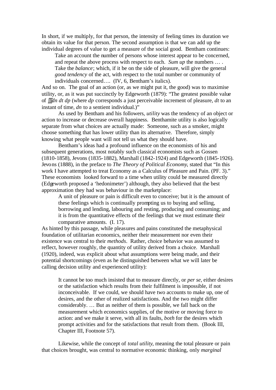In short, if we multiply, for that person, the intensity of feeling times its duration we obtain its value for that person. The second assumption is that we can add up the individual degrees of value to get a measure of the social good. Bentham continues:

Take an account the number of persons whose interest appear to be concerned, and repeat the above process with respect to each. *Sum up* the numbers … . Take the *balance*; which, if it be on the side of pleasure, will give the general *good tendency* of the act, with respect to the total number or community of individuals concerned…. (IV, 6, Bentham's italics).

And so on. The goal of an action (or, as we might put it, the good) was to maximise utility, or, as it was put succinctly by Edgeworth (1879): "The greatest possible value of ∫∫∫*dn dt dp* (where *dp* corresponds a just perceivable increment of pleasure, *dt* to an instant of time, *dn* to a sentient individual.)"

As used by Bentham and his followers, *utility* was the tendency of an object or action to increase or decrease overall happiness. Benthamite utility is also logically separate from what choices are actually made: Someone, such as a smoker, might choose something that has lower utility than its alternative. Therefore, simply knowing what people want will not tell us what they should have.

Bentham's ideas had a profound influence on the economists of his and subsequent generations, most notably such classical economists such as Gossen (1810-1858), Jevons (1835-1882), Marshall (1842-1924) and Edgeworth (1845-1926). Jevons (1888), in the preface to *The Theory of Political Economy*, stated that "In this work I have attempted to treat Economy as a Calculus of Pleasure and Pain. (PF. 3)." These economists looked forward to a time when utility could be measured directly (Edgeworth proposed a 'hedonimeter') although, they also believed that the best approximation they had was behaviour in the marketplace:

A unit of pleasure or pain is difficult even to conceive; but it is the amount of these feelings which is continually prompting us to buying and selling, borrowing and lending, labouring and resting, producing and consuming; and it is from the quantitative effects of the feelings that we must estimate their comparative amounts. (I. 17).

As hinted by this passage, while pleasures and pains constituted the metaphysical foundation of utilitarian economics, neither their measurement nor even their existence was central to their *methods*. Rather, choice behavior was assumed to reflect, however roughly, the quantity of utility derived from a choice. Marshall (1920), indeed, was explicit about what assumptions were being made, and their potential shortcomings (even as he distinguished between what we will later be calling decision utility and experienced utility):

It cannot be too much insisted that to measure directly, or *per se,* either desires or the satisfaction which results from their fulfilment is impossible, if not inconceivable. If we could, we should have two accounts to make up, one of desires, and the other of realized satisfactions. And the two might differ considerably. … But as neither of them is possible, we fall back on the measurement which economics supplies, of the motive or moving force to action: and we make it serve, with all its faults, *both* for the desires which prompt activities and for the satisfactions that result from them. (Book III, Chapter III, Footnote 57).

Likewise, while the concept of *total utility*, meaning the total pleasure or pain that choices brought, was central to normative economic thinking, only *marginal*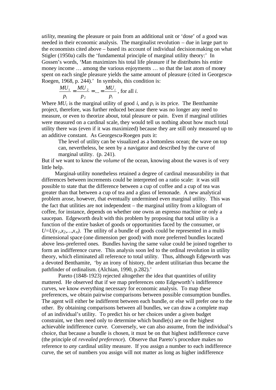*utility*, meaning the pleasure or pain from an additional unit or 'dose' of a good was needed in their economic analysis. The marginalist revolution – due in large part to the economists cited above – based its account of individual decision making on what Stigler (1950a) calls the 'fundamental principle of marginal utility theory:' In Gossen's words, 'Man maximizes his total life pleasure if he distributes his entire money income … among the various enjoyments … so that the last atom of money spent on each single pleasure yields the same amount of pleasure (cited in Georgescu-Roegen, 1968, p. 244).' In symbols, this condition is:

$$
\frac{MU_1}{p_1} = \frac{MU_2}{p_2} = \dots = \frac{MU_i}{p_i}
$$
, for all *i*.

Where  $MU_i$  is the marginal utility of good *i*, and  $p_i$  is its price. The Benthamite project, therefore, was further reduced because there was no longer any need to measure, or even to theorize about, total pleasure or pain. Even if marginal utilities were measured on a cardinal scale, they would tell us nothing about how much total utility there was (even if it was maximized) because they are still only measured up to an additive constant. As Georgescu-Roegen puts it:

The level of utility can be visualized as a bottomless ocean; the wave on top can, nevertheless, be seen by a navigator and described by the curve of marginal utility. (p. 241).

But if we want to know the *volume* of the ocean, knowing about the waves is of very little help.

Marginal-utility nonetheless retained a degree of cardinal measurability in that differences between increments could be interpreted on a ratio scale: it was still possible to state that the difference between a cup of coffee and a cup of tea was greater than that between a cup of tea and a glass of lemonade. A new analytical problem arose, however, that eventually undermined even marginal utility. This was the fact that utilities are not independent – the marginal utility from a kilogram of coffee, for instance, depends on whether one owns an espresso machine or only a saucepan. Edgeworth dealt with this problem by proposing that total utility is a function of the entire basket of goods or opportunities faced by the consumer, or  $U=U(x_1,x_2,...,x_n)$ . The utility of a bundle of goods could be represented in a multidimensional space (one dimension per good) with more preferred bundles located above less-preferred ones. Bundles having the same value could be joined together to form an indifference curve. This analysis soon led to the ordinal revolution in utility theory, which eliminated all reference to total utility. Thus, although Edgeworth was a devoted Benthamite, 'by an irony of history, the ardent utilitarian thus became the pathfinder of ordinalism. (Alchian, 1990, p.282).'

Pareto (1848-1923) rejected altogether the idea that quantities of utility mattered. He observed that if we map preferences onto Edgeworth's indifference curves, we know everything necessary for economic analysis. To map these preferences, we obtain pairwise comparisons between possible consumption bundles. The agent will either be indifferent between each bundle, or else will prefer one to the other. By obtaining comparisons between all bundles, we can draw a complete map of an individual's utility. To predict his or her choices under a given budget constraint, we then need only to determine which bundle(s) are on the highest achievable indifference curve. Conversely, we can also assume, from the individual's choice, that because a bundle is chosen, it must be on that highest indifference curve (the principle of *revealed preference*). Observe that Pareto's procedure makes no reference to *any* cardinal utility measure. If you assign a number to each indifference curve, the set of numbers you assign will not matter as long as higher indifference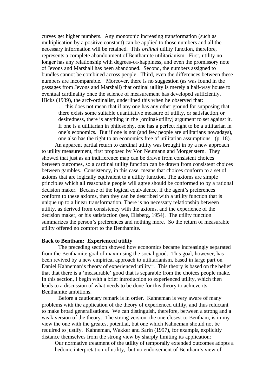curves get higher numbers. Any monotonic increasing transformation (such as multiplication by a positive constant) can be applied to those numbers and all the necessary information will be retained. This *ordinal* utility function, therefore, represents a complete abandonment of Benthamite utilitarianism. First, utility no longer has any relationship with degrees-of-happiness, and even the promissory note of Jevons and Marshall has been abandoned. Second, the numbers assigned to bundles cannot be combined across people. Third, even the differences between these numbers are incomparable. Moreover, there is no suggestion (as was found in the passages from Jevons and Marshall) that ordinal utility is merely a half-way house to eventual cardinality once the science of measurement has developed sufficiently. Hicks (1939), the arch-ordinalist, underlined this when he observed that:

… this does not mean that if any one has any other ground for supposing that there exists some suitable quantitative measure of utility, or satisfaction, or desiredness, there is anything in the [ordinal-utility] argument to set against it. If one is a utilitarian in philosophy, one has a perfect right to be a utilitarian in one's economics. But if one is not (and few people are utilitarians nowadays), one also has the right to an economics free of utilitarian assumptions. (p. 18).

An apparent partial return to cardinal utility was brought in by a new approach to utility measurement, first proposed by Von Neumann and Morgenstern. They showed that just as an indifference map can be drawn from consistent choices between outcomes, so a cardinal utility function can be drawn from consistent choices between gambles. Consistency, in this case, means that choices conform to a set of axioms that are logically equivalent to a utility function. The axioms are simple principles which all reasonable people will agree should be conformed to by a rational decision maker. Because of the logical equivalence, if the agent's preferences conform to these axioms, then they can be described with a utility function that is unique up to a linear transformation. There is no necessary relationship between utility, as derived from consistency with the axioms, and the experience of the decision maker, or his satisfaction (see, Ellsberg, 1954). The utility function summarizes the person's preferences and nothing more. So the return of measurable utility offered no comfort to the Benthamite.

## **Back to Bentham: Experienced utility**

The preceding section showed how economics became increasingly separated from the Benthamite goal of maximising the social good. This goal, however, has been revived by a new empirical approach to utilitarianism, based in large part on Daniel Kahneman's theory of experienced utility<sup>iii</sup>. This theory is based on the belief that that there is a 'measurable' good that is separable from the choices people make. In this section, I begin with a brief introduction to experienced utility, which then leads to a discussion of what needs to be done for this theory to achieve its Benthamite ambitions.

Before a cautionary remark is in order. Kahneman is very aware of many problems with the application of the theory of experienced utility, and thus reluctant to make broad generalisations. We can distinguish, therefore, between a strong and a weak version of the theory. The strong version, the one closest to Bentham, is in my view the one with the greatest potential, but one which Kahneman should not be required to justify. Kahneman, Wakker and Sarin (1997), for example, explicitly distance themselves from the strong view by sharply limiting its application:

Our normative treatment of the utility of temporally extended outcomes adopts a hedonic interpretation of utility, but no endorsement of Bentham's view of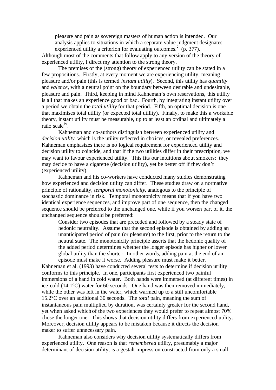pleasure and pain as sovereign masters of human action is intended. Our analysis applies to situations in which a separate value judgment designates experienced utility a criterion for evaluating outcomes.' (p. 377).

Although most of the comments that follow apply to any version of the theory of experienced utility, I direct my attention to the strong theory.

The premises of the (strong) theory of experienced utility can be stated in a few propositions. Firstly, at every moment we are experiencing utility, meaning pleasure and/or pain (this is termed *instant utility*). Second, this utility has *quantity* and *valence*, with a neutral point on the boundary between desirable and undesirable, pleasure and pain. Third, keeping in mind Kahneman's own reservations, this utility is all that makes an experience good or bad. Fourth, by integrating instant utility over a period we obtain the *total utility* for that period. Fifth, an optimal decision is one that maximises total utility (or expected total utility). Finally, to make this a workable theory, instant utility must be measurable, up to at least an ordinal and ultimately a ratio scale<sup>iv</sup>.

Kahneman and co-authors distinguish between experienced utility and *decision utility*, which is the utility reflected in choices, or revealed preferences. Kahneman emphasizes there is no logical requirement for experienced utility and decision utility to coincide, and that if the two utilities differ in their prescription, we may want to favour experienced utility. This fits our intuitions about smokers: they may decide to have a cigarette (decision utility), yet be better off if they don't (experienced utility).

Kahneman and his co-workers have conducted many studies demonstrating how experienced and decision utility can differ. These studies draw on a normative principle of rationality, *temporal monotonicity*, analogous to the principle of stochastic dominance in risk. Temporal monotonicity means that if you have two identical experience sequences, and improve part of one sequence, then the changed sequence should be preferred to the unchanged one, while if you worsen part of it, the unchanged sequence should be preferred:

Consider two episodes that are preceded and followed by a steady state of hedonic neutrality. Assume that the second episode is obtained by adding an unanticipated period of pain (or pleasure) to the first, prior to the return to the neutral state. The monotonicity principle asserts that the hedonic quality of the added period determines whether the longer episode has higher or lower global utility than the shorter. In other words, adding pain at the end of an episode must make it worse. Adding pleasure must make it better.

Kahneman et al. (1993) have conducted several tests to determine if decision utility conforms to this principle. In one, participants first experienced two painful immersions of a hand in cold water. Both hands were immersed (at different times) in ice-cold (14.1°C) water for 60 seconds. One hand was then removed immediately, while the other was left in the water, which warmed up to a still uncomfortable 15.2°C over an additional 30 seconds. The *total* pain, meaning the sum of instantaneous pain multiplied by duration, was certainly greater for the second hand, yet when asked which of the two experiences they would prefer to repeat almost 70% chose the longer one. This shows that decision utility differs from experienced utility. Moreover, decision utility appears to be mistaken because it directs the decision maker to suffer unnecessary pain.

Kahneman also considers why decision utility systematically differs from experienced utility. One reason is that *remembered* utility, presumably a major determinant of decision utility, is a gestalt impression constructed from only a small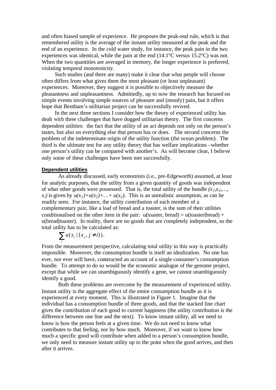and often biased sample of experience. He proposes the peak-end rule, which is that remembered utility is the average of the instant utility measured at the peak and the end of an experience. In the cold water study, for instance, the peak pain in the two experiences was identical, while the pain at the end (14.1°C versus 15.2°C) was not. When the two quantities are averaged in memory, the longer experience is preferred, violating temporal monotonicity.

Such studies (and there are many) make it clear that what people will choose often differs from what gives them the most pleasant (or least unpleasant) experiences. Moreover, they suggest it is possible to objectively measure the pleasantness and unpleasantness. Admittedly, up to now the research has focused on simple events involving simple sources of pleasure and (mostly) pain, but it offers hope that Bentham's utilitarian project can be successfully revived.

In the next three sections I consider how the theory of experienced utility has dealt with three challenges that have dogged utilitarian theory. The first concerns dependent utilities: the fact that the utility of an act depends not only on the person's tastes, but also on everything else that person has or does. The second concerns the problem of the indeterminate origin of the utility function (the ocean problem). The third is the ultimate test for any utility theory that has welfare implications –whether one person's utility can be compared with another's. As will become clear, I believe only some of these challenges have been met successfully.

## **Dependent utilities**

As already discussed, early economists (i.e., pre-Edgeworth) assumed, at least for analytic purposes, that the utility from a given quantity of goods was independent of what other goods were possessed. That is, the total utility of the bundle  $(x_1, x_2, \ldots, x_n)$  $x_i$  is given by  $u(x_1) + u(x_2) + ... + u(x_2)$ . This is an unrealistic assumption, as can be readily seen. For instance, the utility contribution of each member of a complementary pair, like a loaf of bread and a toaster, is the sum of their utilities conditionalised on the other item in the pair:  $u$ (toaster, bread) =  $u$ (toaster|bread) + u(bread|toaster). In reality, there are no goods that are completely independent, so the total utility has to be calculated as:

$$
\sum_i u(x_i \mid \{x_j, j \neq i\}).
$$

From the measurement perspective, calculating total utility in this way is practically impossible. Moreover, the consumption bundle is itself an idealization. No one has ever, nor ever will have, constructed an account of a single consumer's consumption bundle. To attempt to do so would be the economic analogue of the genome project, except that while we can unambiguously identify a gene, we cannot unambiguously identify a good.

Both these problems are overcome by the measurement of experienced utility. Instant utility is the aggregate effect of the entire consumption bundle as it is experienced at every moment. This is illustrated in Figure 1. Imagine that the individual has a consumption bundle of three goods, and that the stacked line chart gives the contribution of each good to current happiness (the utility contribution is the difference between one line and the next). To know instant utility, all we need to know is how the person feels at a given time. We do not need to know what contributes to that feeling, nor by how much. Moreover, if we want to know how much a specific good will contribute when added to a person's consumption bundle, we only need to measure instant utility up to the point when the good arrives, and then after it arrives.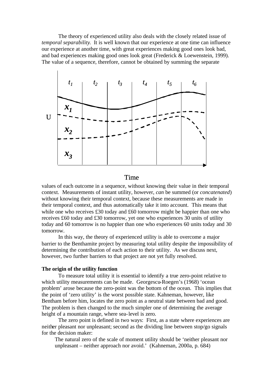The theory of experienced utility also deals with the closely related issue of *temporal separability*. It is well known that our experience at one time can influence our experience at another time, with great experiences making good ones look bad, and bad experiences making good ones look great (Frederick & Loewenstein, 1999). The value of a sequence, therefore, cannot be obtained by summing the separate



## Time

values of each outcome in a sequence, without knowing their value in their temporal context. Measurements of instant utility, however, *can* be summed (or *concatenated*) without knowing their temporal context, because these measurements are made in their temporal context, and thus automatically take it into account. This means that while one who receives £30 today and £60 tomorrow might be happier than one who receives £60 today and £30 tomorrow, yet one who experiences 30 units of utility today and 60 tomorrow is no happier than one who experiences 60 units today and 30 tomorrow.

In this way, the theory of experienced utility is able to overcome a major barrier to the Benthamite project by measuring total utility despite the impossibility of determining the contribution of each action to their utility. As we discuss next, however, two further barriers to that project are not yet fully resolved.

## **The origin of the utility function**

To measure total utility it is essential to identify a true zero-point relative to which utility measurements can be made. Georgescu-Roegen's (1968) 'ocean problem' arose because the zero-point was the bottom of the ocean. This implies that the point of 'zero utility' is the worst possible state. Kahneman, however, like Bentham before him, locates the zero point as a neutral state between bad and good. The problem is then changed to the much simpler one of determining the average height of a mountain range, where sea-level is zero.

The zero point is defined in two ways: First, as a state where experiences are neither pleasant nor unpleasant; second as the dividing line between stop/go signals for the decision maker:

The natural zero of the scale of moment utility should be 'neither pleasant nor unpleasant – neither approach nor avoid.' (Kahneman, 2000a, p. 684)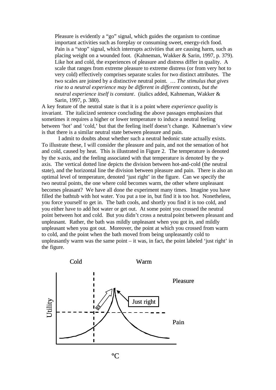Pleasure is evidently a "go" signal, which guides the organism to continue important activities such as foreplay or consuming sweet, energy-rich food. Pain is a "stop" signal, which interrupts activities that are causing harm, such as placing weight on a wounded foot. (Kahneman, Wakker & Sarin, 1997, p. 379). Like hot and cold, the experiences of pleasure and distress differ in quality. A scale that ranges from extreme pleasure to extreme distress (or from very hot to very cold) effectively comprises separate scales for two distinct attributes. The two scales are joined by a distinctive neutral point. … *The stimulus that gives rise to a neutral experience may be different in different contexts, but the neutral experience itself is constant*. (italics added, Kahneman, Wakker & Sarin, 1997, p. 380).

A key feature of the neutral state is that it is a point where *experience quality* is invariant. The italicized sentence concluding the above passages emphasizes that sometimes it requires a higher or lower temperature to induce a neutral feeling between 'hot' and 'cold,' but that the feeling itself doesn't change. Kahneman's view is that there is a similar neutral state between pleasure and pain.

I admit to doubts about whether such a neutral hedonic state actually exists. To illustrate these, I will consider the pleasure and pain, and not the sensation of hot and cold, caused by heat. This is illustrated in Figure 2. The temperature is denoted by the x-axis, and the feeling associated with that temperature is denoted by the yaxis. The vertical dotted line depicts the division between hot-and-cold (the neutral state), and the horizontal line the division between pleasure and pain. There is also an optimal level of temperature, denoted 'just right' in the figure. Can we specify the two neutral points, the one where cold becomes warm, the other where unpleasant becomes pleasant? We have all done the experiment many times. Imagine you have filled the bathtub with hot water. You put a toe in, but find it is too hot. Nonetheless, you force yourself to get in. The bath cools, and shortly you find it is too cold, and you either have to add hot water or get out. At some point you crossed the neutral point between hot and cold. But you didn't cross a neutral point between pleasant and unpleasant. Rather, the bath was mildly unpleasant when you got in, and mildly unpleasant when you got out. Moreover, the point at which you crossed from warm to cold, and the point when the bath moved from being unpleasantly cold to unpleasantly warm was the same point  $-$  it was, in fact, the point labeled 'just right' in the figure.



ºC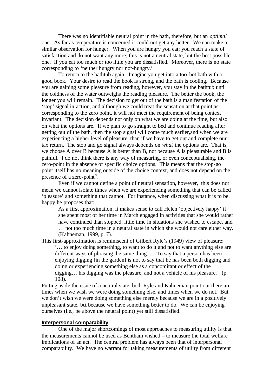There was no identifiable neutral point in the bath, therefore, but an *optimal* one. As far as temperature is concerned it could not get any better. We can make a similar observation for hunger. When you are hungry you eat; you reach a state of satisfaction and do not want any more; this is not a neutral state, but the best possible one. If you eat too much or too little you are dissatisfied. Moreover, there is no state corresponding to 'neither hungry nor not-hungry.'

To return to the bathtub again. Imagine you get into a too-hot bath with a good book. Your desire to read the book is strong, and the bath is cooling. Because you are gaining some pleasure from reading, however, you stay in the bathtub until the coldness of the water outweighs the reading pleasure. The better the book, the longer you will remain. The decision to get out of the bath is a manifestation of the 'stop' signal in action, and although we could treat the sensation at that point as corresponding to the zero point, it will not meet the requirement of being context invariant. The decision depends not only on what we are doing at the time, but also on what the options are. If we plan to go straight to bed and continue reading after getting out of the bath, then the stop signal will come much earlier,and when we are experiencing a higher level of pleasure, than if we have to get out and complete our tax return. The stop and go signal always depends on *what* the options are. That is, we choose A over B because A is better than B, not because A is pleasurable and B is painful. I do not think there is any way of measuring, or even conceptualising, the zero-point in the absence of specific choice options. This means that the stop-go point itself has no meaning outside of the choice context, and does not depend on the presence of a zero-point<sup> $v$ </sup>.

Even if we cannot define a point of neutral sensation, however, this does not mean we cannot isolate times when we are experiencing something that can be called 'pleasure' and something that cannot. For instance, when discussing what it is to be happy he proposes that:

As a first approximation, it makes sense to call Helen 'objectively happy' if she spent most of her time in March engaged in activities that she would rather have continued than stopped, little time in situations she wished to escape, and … not too much time in a neutral state in which she would not care either way. (Kahneman, 1999, p. 7).

This first-approximation is reminiscent of Gilbert Ryle's (1949) view of pleasure:

'… to enjoy doing something, to want to do it and not to want anything else are different ways of phrasing the same thing. … To say that a person has been enjoying digging [in the garden] is not to say that he has been both digging and doing or experiencing something else as a concomitant or effect of the digging… his digging was the pleasure, and not a vehicle of his pleasure.' (p. 108).

Putting aside the issue of a neutral state, both Ryle and Kahneman point out there are times when we wish we were doing something else, and times when we do not. But we don't wish we were doing something else merely because we are in a positively unpleasant state, but because we have something better to do. We can be enjoying ourselves (i.e., be above the neutral point) yet still dissatisfied.

## **Interpersonal comparability**

One of the major shortcomings of most approaches to measuring utility is that the measurements cannot be used as Bentham wished – to measure the total welfare implications of an act. The central problem has always been that of interpersonal comparability. We have no warrant for taking measurements of utility from different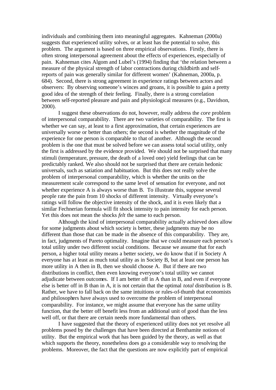individuals and combining them into meaningful aggregates. Kahneman (2000a) suggests that experienced utility solves, or at least has the potential to solve, this problem. The argument is based on three empirical observations. Firstly, there is often strong interpersonal agreement about the effects of experiences, especially of pain. Kahneman cites Algom and Lubel's (1994) finding that 'the relation between a measure of the physical strength of labor contractions during childbirth and selfreports of pain was generally similar for different women' (Kahneman, 2000a, p. 684). Second, there is strong agreement in experience ratings between actors and observers: By observing someone's winces and groans, it is possible to gain a pretty good idea of the strength of their feeling. Finally, there is a strong correlation between self-reported pleasure and pain and physiological measures (e.g., Davidson, 2000).

I suggest these observations do not, however, really address the *core* problem of interpersonal comparability. There are two varieties of comparability. The first is whether we can say, at least to a first approximation, that certain experiences are universally worse or better than others; the second is whether the magnitude of the experience for one person is comparable to that of another. Although the second problem is the one that must be solved before we can assess total social utility, only the first is addressed by the evidence provided. We should not be surprised that many stimuli (temperature, pressure, the death of a loved one) yield feelings that can be predictably ranked. We also should not be surprised that there are certain hedonic universals, such as satiation and habituation. But this does not really solve the problem of interpersonal comparability, which is whether the units on the measurement scale correspond to the same level of sensation for everyone, and not whether experience A is always worse than B. To illustrate this, suppose several people rate the pain from 10 shocks of different intensity. Virtually everyone's ratings will follow the objective intensity of the shock, and it is even likely that a similar Fechnerian formula will fit shock intensity to pain intensity for each person. Yet this does not mean the shocks *felt* the same to each person.

Although the kind of interpersonal comparability actually achieved does allow for some judgments about which society is better, these judgments may be no different than those that can be made in the absence of this comparability. They are, in fact, judgments of Pareto optimality. Imagine that we could measure each person's total utility under two different social conditions. Because we assume that for each person, a higher total utility means a better society, we do know that if in Society A everyone has at least as much total utility as in Society B, but at least one person has more utility in A then in B, then we should choose A. But if there are two distributions in conflict, then even knowing everyone's total utility we cannot adjudicate between outcomes. If I am better off in A than in B, and even if everyone else is better off in B than in A, it is not certain that the optimal *total* distribution is B. Rather, we have to fall back on the same intuitions or rules-of-thumb that economists and philosophers have always used to overcome the problem of interpersonal comparability. For instance, we might assume that everyone has the same utility function, that the better off benefit less from an additional unit of good than the less well off, or that there are certain needs more fundamental than others.

I have suggested that the theory of experienced utility does not yet resolve all problems posed by the challenges that have been directed at Benthamite notions of utility. But the empirical work that has been guided by the theory, as well as that which supports the theory, nonetheless does go a considerable way to resolving the problems. Moreover, the fact that the questions are now explicitly part of empirical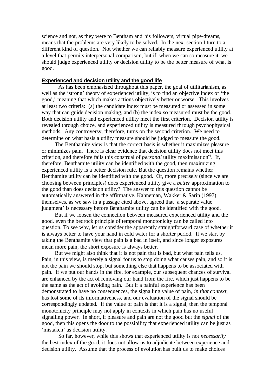science and not, as they were to Bentham and his followers, virtual pipe-dreams, means that the problems are very likely to be solved. In the next section I turn to a different kind of question. Not whether we can reliably measure experienced utility at a level that permits interpersonal comparison, but if, when we can so measure it, we should judge experienced utility or decision utility to be the better measure of what is good.

## **Experienced and decision utility and the good life**

As has been emphasized throughout this paper, the goal of utilitarianism, as well as the 'strong' theory of experienced utility, is to find an objective index of 'the good,' meaning that which makes actions objectively better or worse. This involves at least two criteria: (a) the candidate index must be measured or assessed in some way that can guide decision making, and (b) the index so measured must be the good. Both decision utility and experienced utility meet the first criterion. Decision utility is revealed through choice, and experienced utility is measured through psychophysical methods. Any controversy, therefore, turns on the second criterion. We need to determine on what basis a utility measure should be judged to measure the good.

The Benthamite view is that the correct basis is whether it maximizes pleasure or minimizes pain. There is clear evidence that decision utility does not meet this criterion, and therefore fails this construal of *personal* utility maximisation<sup>vi</sup>. If, therefore, Benthamite utility can be identified with the good, then maximizing experienced utility is a better decision rule. But the question remains whether Benthamite utility can be identified with the good. Or, more precisely (since we are choosing between principles) does experienced utility give a *better* approximation to the good than does decision utility? The answer to this question cannot be automatically answered in the affirmative. Kahneman, Wakker & Sarin (1997) themselves, as we saw in a passage cited above, agreed that 'a separate value judgment' is necessary before Benthamite utility can be identified with the good.

But if we loosen the connection between measured experienced utility and the good, even the bedrock principle of temporal monotonicity can be called into question. To see why, let us consider the apparently straightforward case of whether it is always better to have your hand in cold water for a shorter period. If we start by taking the Benthamite view that pain is a bad in itself, and since longer exposures mean more pain, the short exposure is always better.

But we might also think that it is not pain that is bad, but what pain tells us. Pain, in this view, is merely a signal for us to stop doing what causes pain, and so it is not the pain we should stop, but something else that happens to be associated with pain. If we put our hands in the fire, for example, our subsequent chances of survival are enhanced by the act of removing our hand from the fire, which just happens to be the same as the act of avoiding pain. But if a painful experience has been demonstrated to have no consequences, the signalling value of pain, *in that context*, has lost some of its informativeness, and our evaluation of the signal should be correspondingly updated. If the value of pain is that it is a signal, then the temporal monotonicity principle may not apply in contexts in which pain has no useful signalling power. In short, if pleasure and pain are not the good but the *signal* of the good, then this opens the door to the possibility that experienced utility can be just as 'mistaken' as decision utility.

So far, however, while this shows that experienced utility is not *necessarily* the best index of the good, it does not allow us to adjudicate between experience and decision utility. Assume that the process of evolution has built us to make choices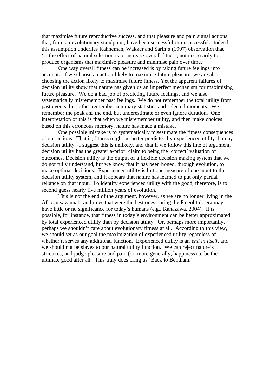that maximise future reproductive success, and that pleasure and pain signal actions that, from an evolutionary standpoint, have been successful or unsuccessful. Indeed, this assumption underlies Kahneman, Wakker and Sarin's (1997) observation that '…the effect of natural selection is to increase overall fitness, not necessarily to produce organisms that maximise pleasure and minimise pain over time.'

One way overall fitness can be increased is by taking future feelings into account. If we choose an action likely to maximise future pleasure, we are also choosing the action likely to maximise future fitness. Yet the apparent failures of decision utility show that nature has given us an imperfect mechanism for maximising future pleasure. We do a bad job of predicting future feelings, and we also systematically misremember past feelings. We do not remember the total utility from past events, but rather remember summary statistics and selected moments. We remember the peak and the end, but underestimate or even ignore duration. One interpretation of this is that when we misremember utility, and then make choices based on this erroneous memory, nature has made a mistake.

One possible mistake is to systematically misestimate the fitness consequences of our actions. That is, fitness might be better predicted by experienced utility than by decision utility. I suggest this is unlikely, and that if we follow this line of argument, decision utility has the greater a-priori claim to being the 'correct' valuation of outcomes. Decision utility is the output of a flexible decision making system that we do not fully understand, but we know that it has been honed, through evolution, to make optimal decisions. Experienced utility is but one measure of one input to the decision utility system, and it appears that nature has learned to put only partial reliance on that input. To identify experienced utility with the good, therefore, is to second guess nearly five million years of evolution.

This is not the end of the argument, however, as we are no longer living in the African savannah, and rules that were the best ones during the Paleolithic era may have little or no significance for today's humans (e.g., Kanazawa, 2004). It is possible, for instance, that fitness in today's environment can be better approximated by total experienced utility than by decision utility. Or, perhaps more importantly, perhaps we shouldn't care about evolutionary fitness at all. According to this view, we should set as our goal the maximization of experienced utility regardless of whether it serves any additional function. Experienced utility is an *end in itself*, and we should not be slaves to our natural utility function. We can reject nature's strictures, and judge pleasure and pain (or, more generally, happiness) to be the ultimate good after all. This truly does bring us 'Back to Bentham.'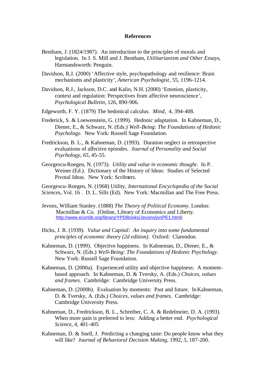#### **References**

- Bentham, J. (1824/1987). An introduction to the principles of morals and legislation. In J. S. Mill and J. Bentham, *Utilitarianism and Other Essays*, Harmandsworth: Penguin.
- Davidson, R.J. (2000) 'Affective style, psychopathology and resilience: Brain mechanisms and plasticity', *American Psychologist*, 55, 1196-1214.
- Davidson, R.J., Jackson, D.C. and Kalin, N.H. (2000) 'Emotion, plasticity, context and regulation: Perspectives from affective neuroscience', *Psychological Bulletin*, 126, 890-906.
- Edgeworth, F. Y. (1879) The hedonical calculus. *Mind*, 4, 394-408.
- Frederick, S. & Loewenstein, G. (1999). Hedonic adaptation. In Kahneman, D., Diener, E., & Schwarz, N. (Eds.) *Well-Being: The Foundations of Hedonic Psychology*. New York: Russell Sage Foundation.
- Fredrickson, B. L., & Kahneman, D. (1993). Duration neglect in retrospective evaluations of affective episodes. *Journal of Personality and Social Psychology*, *65*, 45-55.
- Georgescu-Roegen, N. (1973). *Utility and value in economic thought*. In P. Weiner (Ed.). Dictionary of the History of Ideas: Studies of Selected Pivotal Ideas. New York: Scribners.

Georgescu–Roegen, N. (1968) Utility, *International Encyclopedia of the Social Science*s, Vol. 16 . D. L. Sills (Ed). New York: Macmillan and The Free Press.

- Jevons, William Stanley. (1888) *The Theory of Political Economy.* London: Macmillan & Co. (Online, Library of Economics and Liberty. http://www.econlib.org/library/YPDBooks/Jevons/jvnPE1.html)
- Hicks, J. R. (1939). *Value and Capital: An inquiry into some fundamental principles of economic theory (2d edition)*. Oxford: Clarendon.
- Kahneman, D. (1999). Objective happiness. In Kahneman, D., Diener, E., & Schwarz, N. (Eds.) *Well-Being: The Foundations of Hedonic Psychology*. New York: Russell Sage Foundation.
- Kahneman, D. (2000a). Experienced utility and objective happiness: A momentbased approach. In Kahneman, D. & Tversky, A. (Eds.) *Choices, values and frames.* Cambridge: Cambridge University Press.
- Kahneman, D. (2000b). Evaluation by moments: Past and future. In Kahneman, D. & Tversky, A. (Eds.) *Choices, values and frames.* Cambridge: Cambridge University Press.
- Kahneman, D., Fredrickson, B. L., Schreiber, C. A. & Redelmeier, D. A. (1993). When more pain is preferred to less: Adding a better end. *Psychological Science*, *4*, 401-405
- Kahneman, D. & Snell, J. Predicting a changing taste: Do people know what they will like? *Journal of Behavioral Decision Making,* 1992, *5*, 187-200.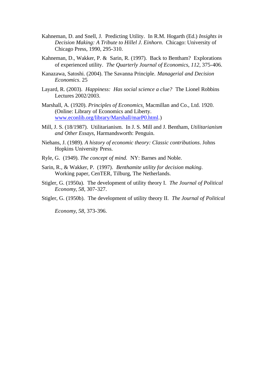- Kahneman, D. and Snell, J. Predicting Utility. In R.M. Hogarth (Ed.) *Insights in Decision Making: A Tribute to Hillel J. Einhorn*. Chicago: University of Chicago Press, 1990, 295-310.
- Kahneman, D., Wakker, P. & Sarin, R. (1997). Back to Bentham? Explorations of experienced utility. *The Quarterly Journal of Economics*, *112*, 375-406.
- Kanazawa, Satoshi. (2004). The Savanna Principle. *Managerial and Decision Economics*. 25
- Layard, R. (2003). *Happiness: Has social science a clue?* The Lionel Robbins Lectures 2002/2003.
- Marshall, A. (1920). *Principles of Economics*. Macmillan and Co., Ltd. 1920. (Online: Library of Economics and Liberty. www.econlib.org/library/Marshall/marP0.html.)
- Mill, J. S. (18/1987). Utilitarianism. In J. S. Mill and J. Bentham, *Utilitarianism and Other Essays*, Harmandsworth: Penguin.
- Niehans, J. (1989). *A history of economic theory: Classic contributions*. Johns Hopkins University Press.
- Ryle, G. (1949). *The concept of mind.* NY: Barnes and Noble.
- Sarin, R., & Wakker, P. (1997). *Benthamite utility for decision making*. Working paper, CenTER, Tilburg, The Netherlands.
- Stigler, G. (1950a). The development of utility theory I. *The Journal of Political Economy*, *58*, 307-327.
- Stigler, G. (1950b). The development of utility theory II. *The Journal of Political*

*Economy*, *58*, 373-396.